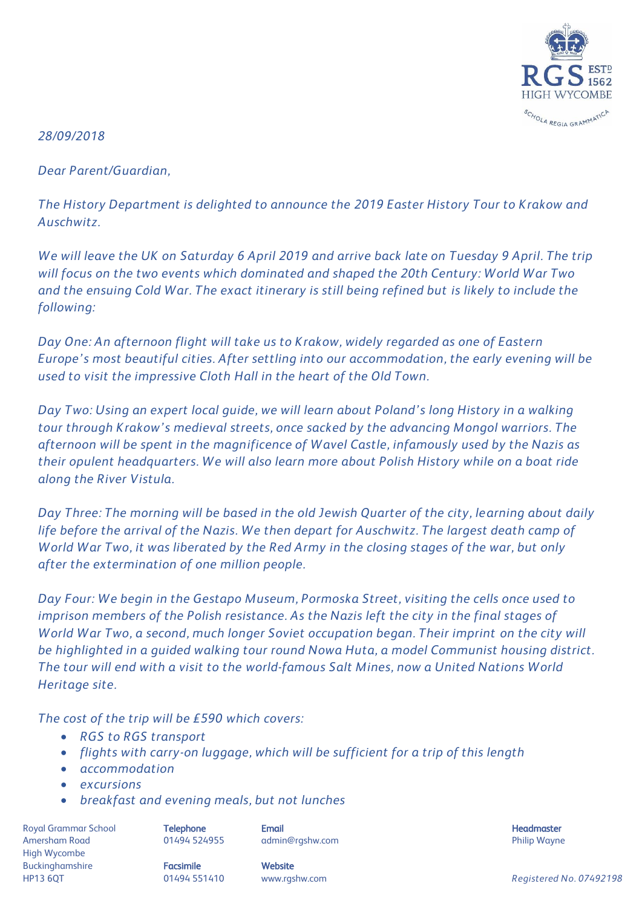

*28/09/2018*

*Dear Parent/Guardian,*

*The History Department is delighted to announce the 2019 Easter History Tour to Krakow and Auschwitz.* 

*We will leave the UK on Saturday 6 April 2019 and arrive back late on Tuesday 9 April. The trip will focus on the two events which dominated and shaped the 20th Century: World War Two and the ensuing Cold War. The exact itinerary is still being refined but is likely to include the following:*

*Day One: An afternoon flight will take us to Krakow, widely regarded as one of Eastern Europe's most beautiful cities. After settling into our accommodation, the early evening will be used to visit the impressive Cloth Hall in the heart of the Old Town.* 

*Day Two: Using an expert local guide, we will learn about Poland's long History in a walking tour through Krakow's medieval streets, once sacked by the advancing Mongol warriors. The afternoon will be spent in the magnificence of Wavel Castle, infamously used by the Nazis as their opulent headquarters. We will also learn more about Polish History while on a boat ride along the River Vistula.*

*Day Three: The morning will be based in the old Jewish Quarter of the city, learning about daily life before the arrival of the Nazis. We then depart for Auschwitz. The largest death camp of World War Two, it was liberated by the Red Army in the closing stages of the war, but only after the extermination of one million people.* 

*Day Four: We begin in the Gestapo Museum, Pormoska Street, visiting the cells once used to imprison members of the Polish resistance. As the Nazis left the city in the final stages of World War Two, a second, much longer Soviet occupation began. Their imprint on the city will be highlighted in a guided walking tour round Nowa Huta, a model Communist housing district. The tour will end with a visit to the world-famous Salt Mines, now a United Nations World Heritage site.* 

*The cost of the trip will be £590 which covers:*

- *RGS to RGS transport*
- *flights with carry-on luggage, which will be sufficient for a trip of this length*
- *accommodation*
- *excursions*
- *breakfast and evening meals, but not lunches*

Royal Grammar School **Telephone Email Headmaster Email Headmaster Headmaster Headmaster** Amersham Road **8. Community 1948 124955** admin@rgshw.com **Community Community Philip Wayne** High Wycombe Buckinghamshire **Facsimile Facsimile** Website

HP13 6QT 01494 551410 www.rgshw.com *Registered No. 07492198*